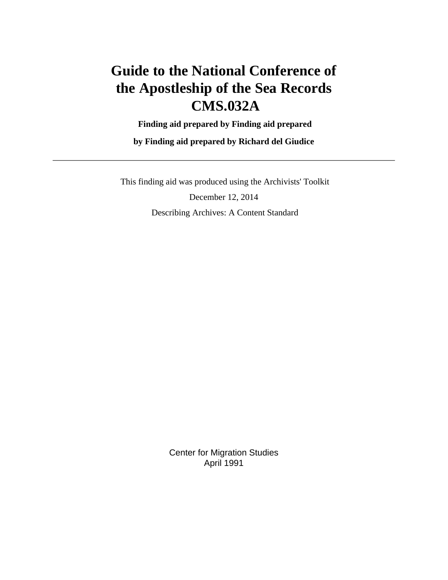# **Guide to the National Conference of the Apostleship of the Sea Records CMS.032A**

 **Finding aid prepared by Finding aid prepared**

**by Finding aid prepared by Richard del Giudice**

 This finding aid was produced using the Archivists' Toolkit December 12, 2014 Describing Archives: A Content Standard

> Center for Migration Studies April 1991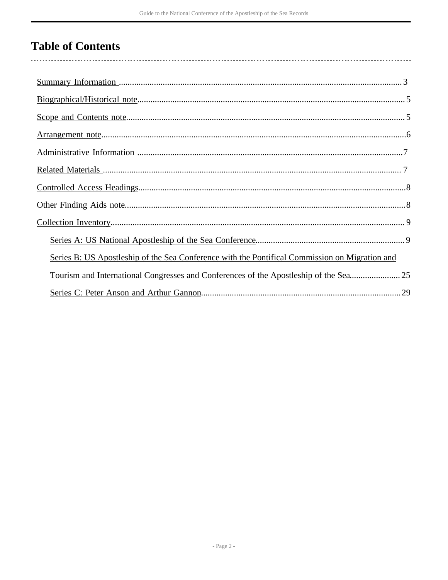# **Table of Contents**

| Series B: US Apostleship of the Sea Conference with the Pontifical Commission on Migration and |
|------------------------------------------------------------------------------------------------|
| Tourism and International Congresses and Conferences of the Apostleship of the Sea25           |
|                                                                                                |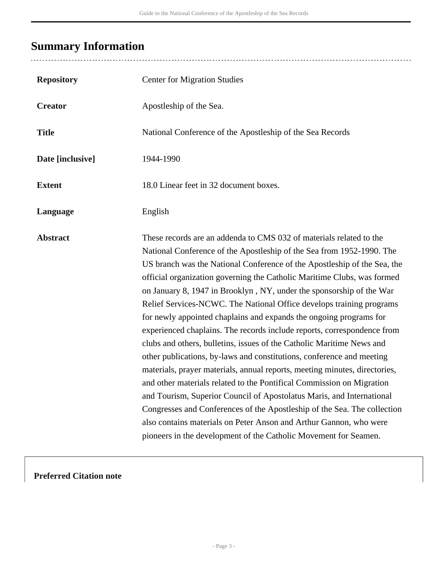# <span id="page-2-0"></span>**Summary Information**

| <b>Repository</b> | <b>Center for Migration Studies</b>                                                                                                                                                                                                                                                                                                                                                                                                                                                                                                                                                                                                                                                                                                                                                                                                                                                                                                                                                                                                                                                                                                                                                                          |
|-------------------|--------------------------------------------------------------------------------------------------------------------------------------------------------------------------------------------------------------------------------------------------------------------------------------------------------------------------------------------------------------------------------------------------------------------------------------------------------------------------------------------------------------------------------------------------------------------------------------------------------------------------------------------------------------------------------------------------------------------------------------------------------------------------------------------------------------------------------------------------------------------------------------------------------------------------------------------------------------------------------------------------------------------------------------------------------------------------------------------------------------------------------------------------------------------------------------------------------------|
| <b>Creator</b>    | Apostleship of the Sea.                                                                                                                                                                                                                                                                                                                                                                                                                                                                                                                                                                                                                                                                                                                                                                                                                                                                                                                                                                                                                                                                                                                                                                                      |
| <b>Title</b>      | National Conference of the Apostleship of the Sea Records                                                                                                                                                                                                                                                                                                                                                                                                                                                                                                                                                                                                                                                                                                                                                                                                                                                                                                                                                                                                                                                                                                                                                    |
| Date [inclusive]  | 1944-1990                                                                                                                                                                                                                                                                                                                                                                                                                                                                                                                                                                                                                                                                                                                                                                                                                                                                                                                                                                                                                                                                                                                                                                                                    |
| <b>Extent</b>     | 18.0 Linear feet in 32 document boxes.                                                                                                                                                                                                                                                                                                                                                                                                                                                                                                                                                                                                                                                                                                                                                                                                                                                                                                                                                                                                                                                                                                                                                                       |
| Language          | English                                                                                                                                                                                                                                                                                                                                                                                                                                                                                                                                                                                                                                                                                                                                                                                                                                                                                                                                                                                                                                                                                                                                                                                                      |
| <b>Abstract</b>   | These records are an addenda to CMS 032 of materials related to the<br>National Conference of the Apostleship of the Sea from 1952-1990. The<br>US branch was the National Conference of the Apostleship of the Sea, the<br>official organization governing the Catholic Maritime Clubs, was formed<br>on January 8, 1947 in Brooklyn, NY, under the sponsorship of the War<br>Relief Services-NCWC. The National Office develops training programs<br>for newly appointed chaplains and expands the ongoing programs for<br>experienced chaplains. The records include reports, correspondence from<br>clubs and others, bulletins, issues of the Catholic Maritime News and<br>other publications, by-laws and constitutions, conference and meeting<br>materials, prayer materials, annual reports, meeting minutes, directories,<br>and other materials related to the Pontifical Commission on Migration<br>and Tourism, Superior Council of Apostolatus Maris, and International<br>Congresses and Conferences of the Apostleship of the Sea. The collection<br>also contains materials on Peter Anson and Arthur Gannon, who were<br>pioneers in the development of the Catholic Movement for Seamen. |

## **Preferred Citation note**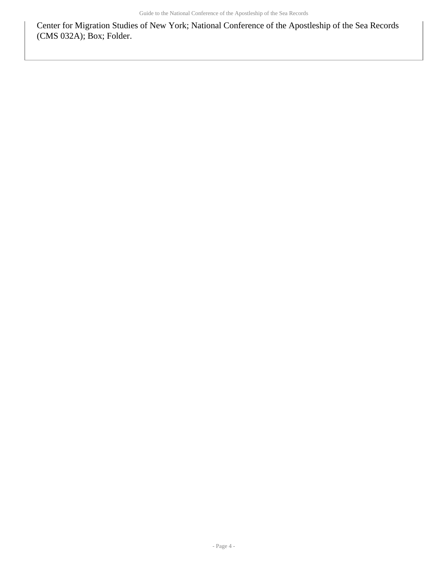Center for Migration Studies of New York; National Conference of the Apostleship of the Sea Records (CMS 032A); Box; Folder.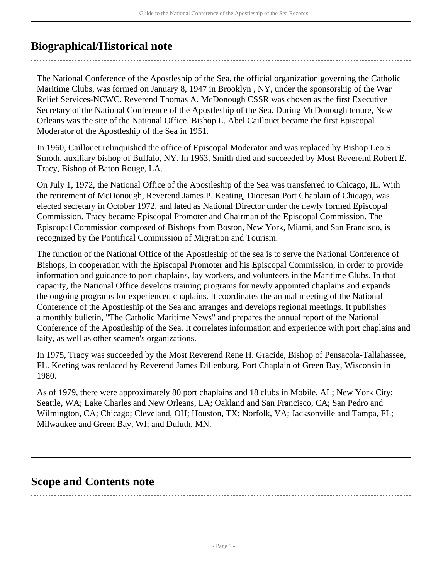## <span id="page-4-0"></span>**Biographical/Historical note**

The National Conference of the Apostleship of the Sea, the official organization governing the Catholic Maritime Clubs, was formed on January 8, 1947 in Brooklyn , NY, under the sponsorship of the War Relief Services-NCWC. Reverend Thomas A. McDonough CSSR was chosen as the first Executive Secretary of the National Conference of the Apostleship of the Sea. During McDonough tenure, New Orleans was the site of the National Office. Bishop L. Abel Caillouet became the first Episcopal Moderator of the Apostleship of the Sea in 1951.

In 1960, Caillouet relinquished the office of Episcopal Moderator and was replaced by Bishop Leo S. Smoth, auxiliary bishop of Buffalo, NY. In 1963, Smith died and succeeded by Most Reverend Robert E. Tracy, Bishop of Baton Rouge, LA.

On July 1, 1972, the National Office of the Apostleship of the Sea was transferred to Chicago, IL. With the retirement of McDonough, Reverend James P. Keating, Diocesan Port Chaplain of Chicago, was elected secretary in October 1972. and lated as National Director under the newly formed Episcopal Commission. Tracy became Episcopal Promoter and Chairman of the Episcopal Commission. The Episcopal Commission composed of Bishops from Boston, New York, Miami, and San Francisco, is recognized by the Pontifical Commission of Migration and Tourism.

The function of the National Office of the Apostleship of the sea is to serve the National Conference of Bishops, in cooperation with the Episcopal Promoter and his Episcopal Commission, in order to provide information and guidance to port chaplains, lay workers, and volunteers in the Maritime Clubs. In that capacity, the National Office develops training programs for newly appointed chaplains and expands the ongoing programs for experienced chaplains. It coordinates the annual meeting of the National Conference of the Apostleship of the Sea and arranges and develops regional meetings. It publishes a monthly bulletin, "The Catholic Maritime News" and prepares the annual report of the National Conference of the Apostleship of the Sea. It correlates information and experience with port chaplains and laity, as well as other seamen's organizations.

In 1975, Tracy was succeeded by the Most Reverend Rene H. Gracide, Bishop of Pensacola-Tallahassee, FL. Keeting was replaced by Reverend James Dillenburg, Port Chaplain of Green Bay, Wisconsin in 1980.

As of 1979, there were approximately 80 port chaplains and 18 clubs in Mobile, AL; New York City; Seattle, WA; Lake Charles and New Orleans, LA; Oakland and San Francisco, CA; San Pedro and Wilmington, CA; Chicago; Cleveland, OH; Houston, TX; Norfolk, VA; Jacksonville and Tampa, FL; Milwaukee and Green Bay, WI; and Duluth, MN.

## <span id="page-4-1"></span>**Scope and Contents note**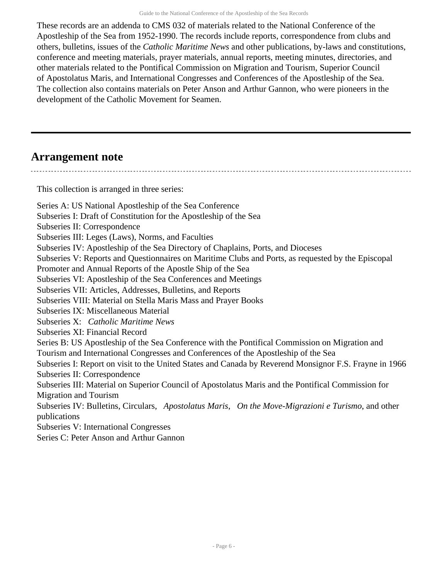These records are an addenda to CMS 032 of materials related to the National Conference of the Apostleship of the Sea from 1952-1990. The records include reports, correspondence from clubs and others, bulletins, issues of the *Catholic Maritime News* and other publications, by-laws and constitutions, conference and meeting materials, prayer materials, annual reports, meeting minutes, directories, and other materials related to the Pontifical Commission on Migration and Tourism, Superior Council of Apostolatus Maris, and International Congresses and Conferences of the Apostleship of the Sea. The collection also contains materials on Peter Anson and Arthur Gannon, who were pioneers in the development of the Catholic Movement for Seamen.

## <span id="page-5-0"></span>**Arrangement note**

This collection is arranged in three series:

Series A: US National Apostleship of the Sea Conference Subseries I: Draft of Constitution for the Apostleship of the Sea Subseries II: Correspondence Subseries III: Leges (Laws), Norms, and Faculties Subseries IV: Apostleship of the Sea Directory of Chaplains, Ports, and Dioceses Subseries V: Reports and Questionnaires on Maritime Clubs and Ports, as requested by the Episcopal Promoter and Annual Reports of the Apostle Ship of the Sea Subseries VI: Apostleship of the Sea Conferences and Meetings Subseries VII: Articles, Addresses, Bulletins, and Reports Subseries VIII: Material on Stella Maris Mass and Prayer Books Subseries IX: Miscellaneous Material Subseries X: *Catholic Maritime News* Subseries XI: Financial Record Series B: US Apostleship of the Sea Conference with the Pontifical Commission on Migration and Tourism and International Congresses and Conferences of the Apostleship of the Sea Subseries I: Report on visit to the United States and Canada by Reverend Monsignor F.S. Frayne in 1966 Subseries II: Correspondence Subseries III: Material on Superior Council of Apostolatus Maris and the Pontifical Commission for Migration and Tourism Subseries IV: Bulletins, Circulars, *Apostolatus Maris*, *On the Move-Migrazioni e Turismo*, and other publications Subseries V: International Congresses

Series C: Peter Anson and Arthur Gannon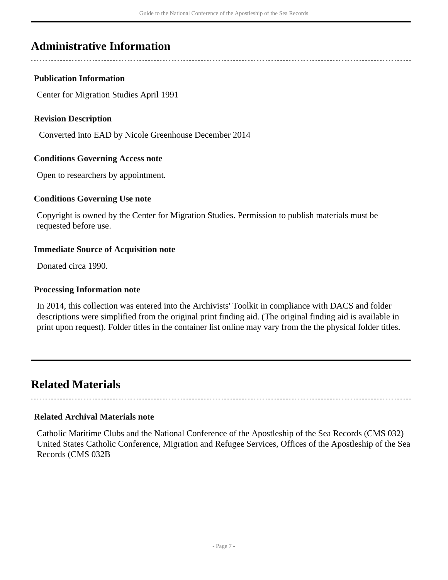## <span id="page-6-0"></span>**Administrative Information**

## **Publication Information**

Center for Migration Studies April 1991

### **Revision Description**

Converted into EAD by Nicole Greenhouse December 2014

### **Conditions Governing Access note**

Open to researchers by appointment.

### **Conditions Governing Use note**

Copyright is owned by the Center for Migration Studies. Permission to publish materials must be requested before use.

### **Immediate Source of Acquisition note**

Donated circa 1990.

#### **Processing Information note**

In 2014, this collection was entered into the Archivists' Toolkit in compliance with DACS and folder descriptions were simplified from the original print finding aid. (The original finding aid is available in print upon request). Folder titles in the container list online may vary from the the physical folder titles.

## <span id="page-6-1"></span>**Related Materials**

## **Related Archival Materials note**

Catholic Maritime Clubs and the National Conference of the Apostleship of the Sea Records (CMS 032) United States Catholic Conference, Migration and Refugee Services, Offices of the Apostleship of the Sea Records (CMS 032B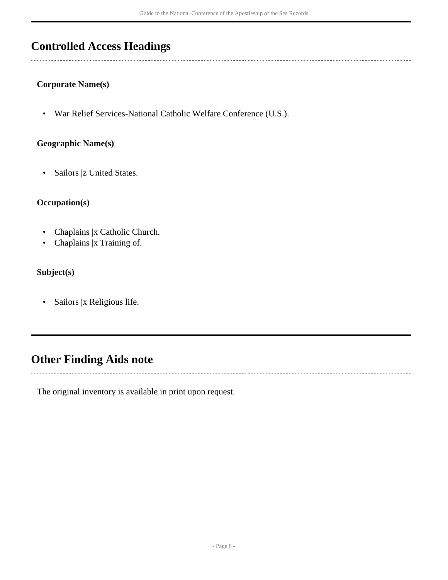## <span id="page-7-0"></span>**Controlled Access Headings**

### **Corporate Name(s)**

• War Relief Services-National Catholic Welfare Conference (U.S.).

### **Geographic Name(s)**

• Sailors |z United States.

## **Occupation(s)**

- Chaplains |x Catholic Church.
- Chaplains |x Training of.

## **Subject(s)**

• Sailors |x Religious life.

## <span id="page-7-1"></span>**Other Finding Aids note**

The original inventory is available in print upon request.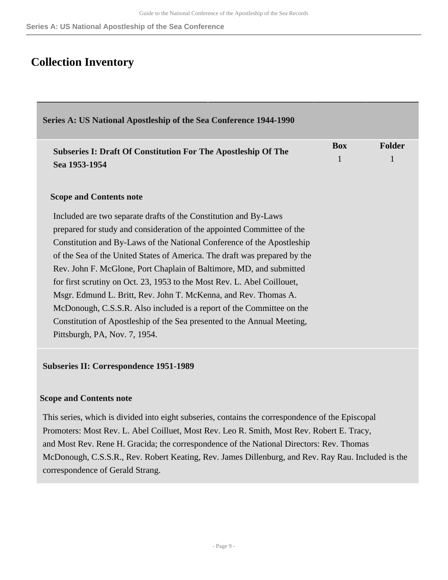## <span id="page-8-0"></span>**Collection Inventory**

<span id="page-8-1"></span>

| Series A: US National Apostleship of the Sea Conference 1944-1990         |            |               |
|---------------------------------------------------------------------------|------------|---------------|
| <b>Subseries I: Draft Of Constitution For The Apostleship Of The</b>      | <b>Box</b> | <b>Folder</b> |
| Sea 1953-1954                                                             | 1          | 1             |
| <b>Scope and Contents note</b>                                            |            |               |
| Included are two separate drafts of the Constitution and By-Laws          |            |               |
| prepared for study and consideration of the appointed Committee of the    |            |               |
| Constitution and By-Laws of the National Conference of the Apostleship    |            |               |
| of the Sea of the United States of America. The draft was prepared by the |            |               |
| Rev. John F. McGlone, Port Chaplain of Baltimore, MD, and submitted       |            |               |
| for first scrutiny on Oct. 23, 1953 to the Most Rev. L. Abel Coillouet,   |            |               |
| Msgr. Edmund L. Britt, Rev. John T. McKenna, and Rev. Thomas A.           |            |               |
| McDonough, C.S.S.R. Also included is a report of the Committee on the     |            |               |
| Constitution of Apostleship of the Sea presented to the Annual Meeting,   |            |               |
| Pittsburgh, PA, Nov. 7, 1954.                                             |            |               |

#### **Subseries II: Correspondence 1951-1989**

#### **Scope and Contents note**

This series, which is divided into eight subseries, contains the correspondence of the Episcopal Promoters: Most Rev. L. Abel Coilluet, Most Rev. Leo R. Smith, Most Rev. Robert E. Tracy, and Most Rev. Rene H. Gracida; the correspondence of the National Directors: Rev. Thomas McDonough, C.S.S.R., Rev. Robert Keating, Rev. James Dillenburg, and Rev. Ray Rau. Included is the correspondence of Gerald Strang.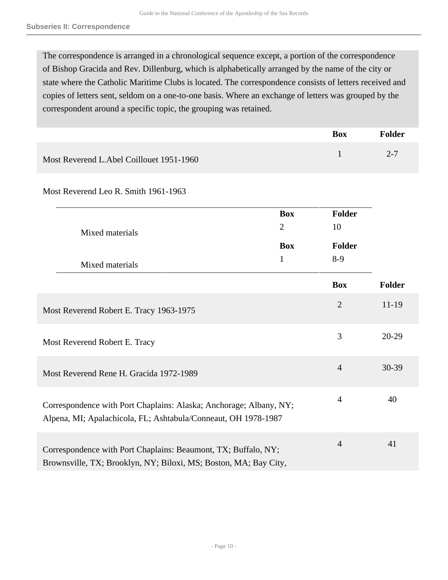The correspondence is arranged in a chronological sequence except, a portion of the correspondence of Bishop Gracida and Rev. Dillenburg, which is alphabetically arranged by the name of the city or state where the Catholic Maritime Clubs is located. The correspondence consists of letters received and copies of letters sent, seldom on a one-to-one basis. Where an exchange of letters was grouped by the correspondent around a specific topic, the grouping was retained.

|                                          | <b>Box</b> | Folder  |
|------------------------------------------|------------|---------|
| Most Reverend L.Abel Coillouet 1951-1960 |            | $2 - 7$ |

Most Reverend Leo R. Smith 1961-1963

| Mixed materials                                                                                                                      | <b>Box</b><br>$\overline{2}$<br><b>Box</b> | <b>Folder</b><br>10<br>Folder |           |
|--------------------------------------------------------------------------------------------------------------------------------------|--------------------------------------------|-------------------------------|-----------|
| Mixed materials                                                                                                                      | $\mathbf{1}$                               | $8-9$                         |           |
|                                                                                                                                      |                                            | <b>Box</b>                    | Folder    |
| Most Reverend Robert E. Tracy 1963-1975                                                                                              |                                            | $\overline{2}$                | 11-19     |
| Most Reverend Robert E. Tracy                                                                                                        |                                            | 3                             | 20-29     |
| Most Reverend Rene H. Gracida 1972-1989                                                                                              |                                            | $\overline{4}$                | $30 - 39$ |
| Correspondence with Port Chaplains: Alaska; Anchorage; Albany, NY;<br>Alpena, MI; Apalachicola, FL; Ashtabula/Conneaut, OH 1978-1987 |                                            | $\overline{4}$                | 40        |
| Correspondence with Port Chaplains: Beaumont, TX; Buffalo, NY;<br>Brownsville, TX; Brooklyn, NY; Biloxi, MS; Boston, MA; Bay City,   |                                            | $\overline{4}$                | 41        |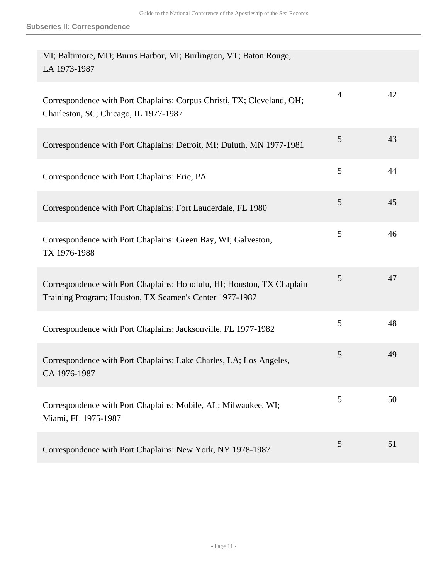| MI; Baltimore, MD; Burns Harbor, MI; Burlington, VT; Baton Rouge,<br>LA 1973-1987                                                 |                |    |
|-----------------------------------------------------------------------------------------------------------------------------------|----------------|----|
| Correspondence with Port Chaplains: Corpus Christi, TX; Cleveland, OH;<br>Charleston, SC; Chicago, IL 1977-1987                   | $\overline{4}$ | 42 |
| Correspondence with Port Chaplains: Detroit, MI; Duluth, MN 1977-1981                                                             | 5              | 43 |
| Correspondence with Port Chaplains: Erie, PA                                                                                      | 5              | 44 |
| Correspondence with Port Chaplains: Fort Lauderdale, FL 1980                                                                      | 5              | 45 |
| Correspondence with Port Chaplains: Green Bay, WI; Galveston,<br>TX 1976-1988                                                     | 5              | 46 |
| Correspondence with Port Chaplains: Honolulu, HI; Houston, TX Chaplain<br>Training Program; Houston, TX Seamen's Center 1977-1987 | 5              | 47 |
| Correspondence with Port Chaplains: Jacksonville, FL 1977-1982                                                                    | 5              | 48 |
| Correspondence with Port Chaplains: Lake Charles, LA; Los Angeles,<br>CA 1976-1987                                                | 5              | 49 |
| Correspondence with Port Chaplains: Mobile, AL; Milwaukee, WI;<br>Miami, FL 1975-1987                                             | 5              | 50 |
| Correspondence with Port Chaplains: New York, NY 1978-1987                                                                        | 5              | 51 |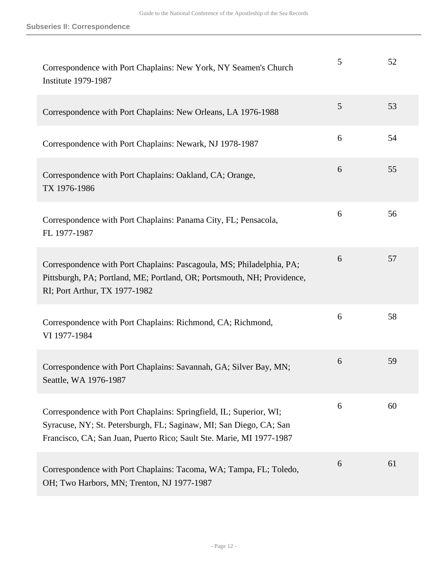| Correspondence with Port Chaplains: New York, NY Seamen's Church<br><b>Institute 1979-1987</b>                                                                                                                   | 5 | 52 |
|------------------------------------------------------------------------------------------------------------------------------------------------------------------------------------------------------------------|---|----|
| Correspondence with Port Chaplains: New Orleans, LA 1976-1988                                                                                                                                                    | 5 | 53 |
| Correspondence with Port Chaplains: Newark, NJ 1978-1987                                                                                                                                                         | 6 | 54 |
| Correspondence with Port Chaplains: Oakland, CA; Orange,<br>TX 1976-1986                                                                                                                                         | 6 | 55 |
| Correspondence with Port Chaplains: Panama City, FL; Pensacola,<br>FL 1977-1987                                                                                                                                  | 6 | 56 |
| Correspondence with Port Chaplains: Pascagoula, MS; Philadelphia, PA;<br>Pittsburgh, PA; Portland, ME; Portland, OR; Portsmouth, NH; Providence,<br>RI; Port Arthur, TX 1977-1982                                | 6 | 57 |
| Correspondence with Port Chaplains: Richmond, CA; Richmond,<br>VI 1977-1984                                                                                                                                      | 6 | 58 |
| Correspondence with Port Chaplains: Savannah, GA; Silver Bay, MN;<br>Seattle, WA 1976-1987                                                                                                                       | 6 | 59 |
| Correspondence with Port Chaplains: Springfield, IL; Superior, WI;<br>Syracuse, NY; St. Petersburgh, FL; Saginaw, MI; San Diego, CA; San<br>Francisco, CA; San Juan, Puerto Rico; Sault Ste. Marie, MI 1977-1987 | 6 | 60 |
| Correspondence with Port Chaplains: Tacoma, WA; Tampa, FL; Toledo,<br>OH; Two Harbors, MN; Trenton, NJ 1977-1987                                                                                                 | 6 | 61 |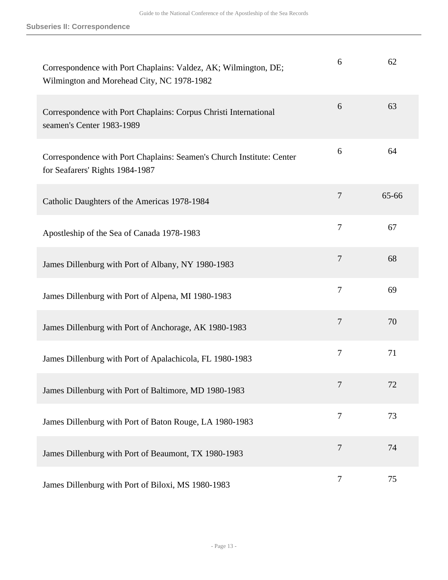| Correspondence with Port Chaplains: Valdez, AK; Wilmington, DE;<br>Wilmington and Morehead City, NC 1978-1982 | 6              | 62    |
|---------------------------------------------------------------------------------------------------------------|----------------|-------|
| Correspondence with Port Chaplains: Corpus Christi International<br>seamen's Center 1983-1989                 | 6              | 63    |
| Correspondence with Port Chaplains: Seamen's Church Institute: Center<br>for Seafarers' Rights 1984-1987      | 6              | 64    |
| Catholic Daughters of the Americas 1978-1984                                                                  | $\overline{7}$ | 65-66 |
| Apostleship of the Sea of Canada 1978-1983                                                                    | 7              | 67    |
| James Dillenburg with Port of Albany, NY 1980-1983                                                            | $\overline{7}$ | 68    |
| James Dillenburg with Port of Alpena, MI 1980-1983                                                            | 7              | 69    |
| James Dillenburg with Port of Anchorage, AK 1980-1983                                                         | 7              | 70    |
| James Dillenburg with Port of Apalachicola, FL 1980-1983                                                      | 7              | 71    |
| James Dillenburg with Port of Baltimore, MD 1980-1983                                                         | 7              | 72    |
| James Dillenburg with Port of Baton Rouge, LA 1980-1983                                                       | $\tau$         | 73    |
| James Dillenburg with Port of Beaumont, TX 1980-1983                                                          | $\overline{7}$ | 74    |
| James Dillenburg with Port of Biloxi, MS 1980-1983                                                            | 7              | 75    |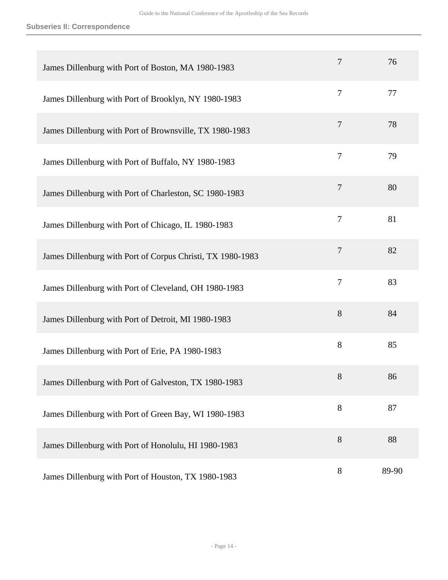**Subseries II: Correspondence**

| James Dillenburg with Port of Boston, MA 1980-1983         | 7              | 76    |
|------------------------------------------------------------|----------------|-------|
| James Dillenburg with Port of Brooklyn, NY 1980-1983       | $\tau$         | 77    |
| James Dillenburg with Port of Brownsville, TX 1980-1983    | $\overline{7}$ | 78    |
| James Dillenburg with Port of Buffalo, NY 1980-1983        | 7              | 79    |
| James Dillenburg with Port of Charleston, SC 1980-1983     | 7              | 80    |
| James Dillenburg with Port of Chicago, IL 1980-1983        | 7              | 81    |
| James Dillenburg with Port of Corpus Christi, TX 1980-1983 | $\overline{7}$ | 82    |
| James Dillenburg with Port of Cleveland, OH 1980-1983      | $\overline{7}$ | 83    |
| James Dillenburg with Port of Detroit, MI 1980-1983        | 8              | 84    |
| James Dillenburg with Port of Erie, PA 1980-1983           | 8              | 85    |
| James Dillenburg with Port of Galveston, TX 1980-1983      | 8              | 86    |
| James Dillenburg with Port of Green Bay, WI 1980-1983      | 8              | 87    |
| James Dillenburg with Port of Honolulu, HI 1980-1983       | 8              | 88    |
| James Dillenburg with Port of Houston, TX 1980-1983        | 8              | 89-90 |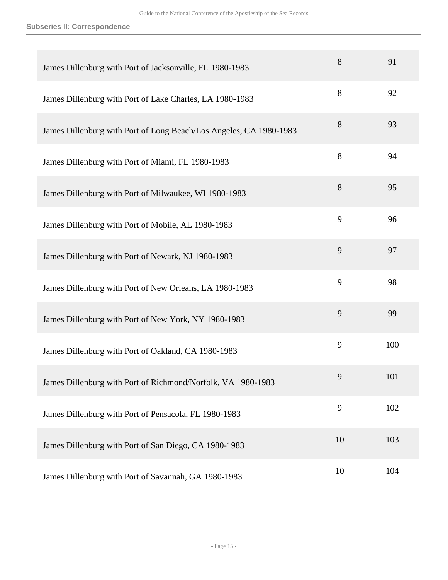**Subseries II: Correspondence**

| James Dillenburg with Port of Jacksonville, FL 1980-1983           | 8  | 91  |
|--------------------------------------------------------------------|----|-----|
| James Dillenburg with Port of Lake Charles, LA 1980-1983           | 8  | 92  |
| James Dillenburg with Port of Long Beach/Los Angeles, CA 1980-1983 | 8  | 93  |
| James Dillenburg with Port of Miami, FL 1980-1983                  | 8  | 94  |
| James Dillenburg with Port of Milwaukee, WI 1980-1983              | 8  | 95  |
| James Dillenburg with Port of Mobile, AL 1980-1983                 | 9  | 96  |
| James Dillenburg with Port of Newark, NJ 1980-1983                 | 9  | 97  |
| James Dillenburg with Port of New Orleans, LA 1980-1983            | 9  | 98  |
| James Dillenburg with Port of New York, NY 1980-1983               | 9  | 99  |
| James Dillenburg with Port of Oakland, CA 1980-1983                | 9  | 100 |
| James Dillenburg with Port of Richmond/Norfolk, VA 1980-1983       | 9  | 101 |
| James Dillenburg with Port of Pensacola, FL 1980-1983              | 9  | 102 |
| James Dillenburg with Port of San Diego, CA 1980-1983              | 10 | 103 |
| James Dillenburg with Port of Savannah, GA 1980-1983               | 10 | 104 |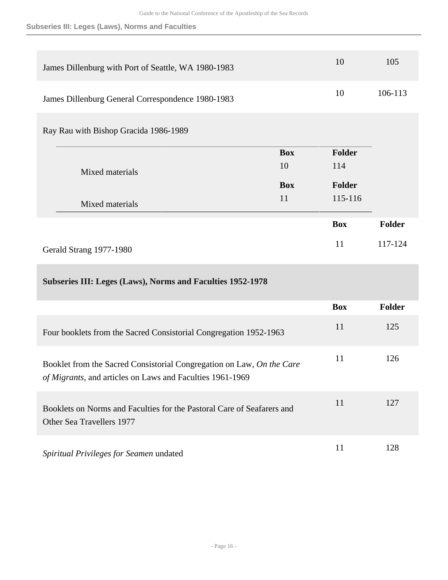**Subseries III: Leges (Laws), Norms and Faculties**

| James Dillenburg with Port of Seattle, WA 1980-1983                                                                                |            | 10         | 105     |
|------------------------------------------------------------------------------------------------------------------------------------|------------|------------|---------|
| James Dillenburg General Correspondence 1980-1983                                                                                  |            | 10         | 106-113 |
| Ray Rau with Bishop Gracida 1986-1989                                                                                              |            |            |         |
|                                                                                                                                    | <b>Box</b> | Folder     |         |
|                                                                                                                                    | 10         | 114        |         |
| Mixed materials                                                                                                                    |            |            |         |
|                                                                                                                                    | <b>Box</b> | Folder     |         |
|                                                                                                                                    | 11         | 115-116    |         |
| Mixed materials                                                                                                                    |            |            |         |
|                                                                                                                                    |            | <b>Box</b> | Folder  |
| Gerald Strang 1977-1980                                                                                                            |            | 11         | 117-124 |
| Subseries III: Leges (Laws), Norms and Faculties 1952-1978                                                                         |            |            |         |
|                                                                                                                                    |            | <b>Box</b> | Folder  |
| Four booklets from the Sacred Consistorial Congregation 1952-1963                                                                  |            | 11         | 125     |
| Booklet from the Sacred Consistorial Congregation on Law, On the Care<br>of Migrants, and articles on Laws and Faculties 1961-1969 |            | 11         | 126     |
| Booklets on Norms and Faculties for the Pastoral Care of Seafarers and<br>Other Sea Travellers 1977                                |            | 11         | 127     |
|                                                                                                                                    |            |            |         |

*Spiritual Privileges for Seamen* undated 11 128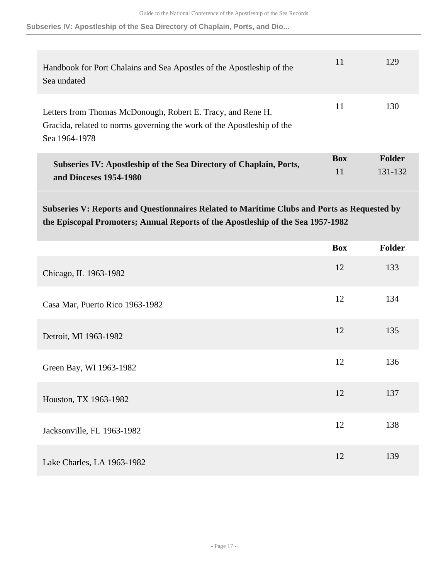**Subseries IV: Apostleship of the Sea Directory of Chaplain, Ports, and Dio...**

| Handbook for Port Chalains and Sea Apostles of the Apostleship of the<br>Sea undated                                                                   | 11               | 129                      |
|--------------------------------------------------------------------------------------------------------------------------------------------------------|------------------|--------------------------|
| Letters from Thomas McDonough, Robert E. Tracy, and Rene H.<br>Gracida, related to norms governing the work of the Apostleship of the<br>Sea 1964-1978 | 11               | 130                      |
| Subseries IV: Apostleship of the Sea Directory of Chaplain, Ports,<br>and Dioceses 1954-1980                                                           | <b>Box</b><br>11 | <b>Folder</b><br>131-132 |

**Subseries V: Reports and Questionnaires Related to Maritime Clubs and Ports as Requested by the Episcopal Promoters; Annual Reports of the Apostleship of the Sea 1957-1982** 

|                                 | <b>Box</b> | <b>Folder</b> |
|---------------------------------|------------|---------------|
| Chicago, IL 1963-1982           | 12         | 133           |
| Casa Mar, Puerto Rico 1963-1982 | 12         | 134           |
| Detroit, MI 1963-1982           | 12         | 135           |
| Green Bay, WI 1963-1982         | 12         | 136           |
| Houston, TX 1963-1982           | 12         | 137           |
| Jacksonville, FL 1963-1982      | 12         | 138           |
| Lake Charles, LA 1963-1982      | 12         | 139           |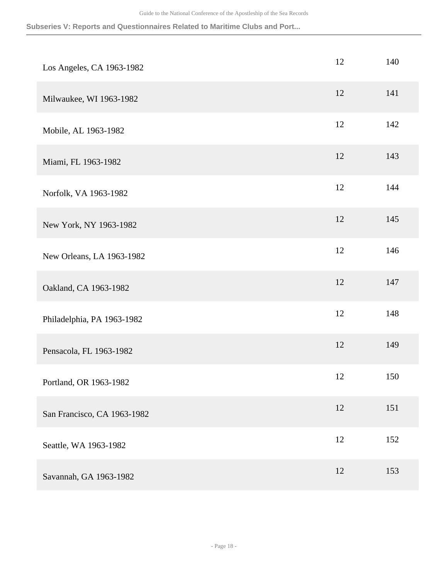**Subseries V: Reports and Questionnaires Related to Maritime Clubs and Port...**

| Los Angeles, CA 1963-1982   | 12 | 140 |
|-----------------------------|----|-----|
| Milwaukee, WI 1963-1982     | 12 | 141 |
| Mobile, AL 1963-1982        | 12 | 142 |
| Miami, FL 1963-1982         | 12 | 143 |
| Norfolk, VA 1963-1982       | 12 | 144 |
| New York, NY 1963-1982      | 12 | 145 |
| New Orleans, LA 1963-1982   | 12 | 146 |
| Oakland, CA 1963-1982       | 12 | 147 |
| Philadelphia, PA 1963-1982  | 12 | 148 |
| Pensacola, FL 1963-1982     | 12 | 149 |
| Portland, OR 1963-1982      | 12 | 150 |
| San Francisco, CA 1963-1982 | 12 | 151 |
| Seattle, WA 1963-1982       | 12 | 152 |
| Savannah, GA 1963-1982      | 12 | 153 |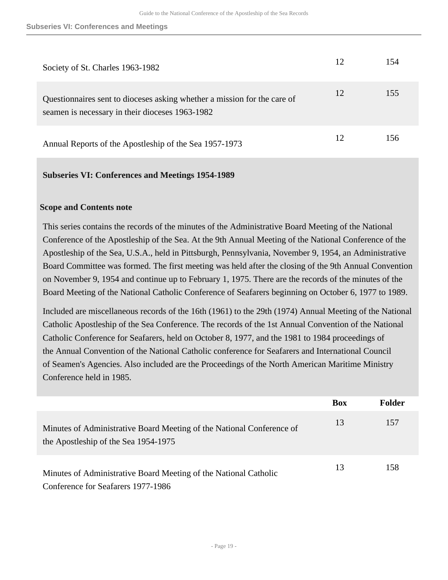| Society of St. Charles 1963-1982                                                                                            |    | 154 |
|-----------------------------------------------------------------------------------------------------------------------------|----|-----|
| Questionnaires sent to dioceses asking whether a mission for the care of<br>seamen is necessary in their dioceses 1963-1982 | 12 | 155 |
| Annual Reports of the Apostleship of the Sea 1957-1973                                                                      |    | 156 |

#### **Subseries VI: Conferences and Meetings 1954-1989**

#### **Scope and Contents note**

This series contains the records of the minutes of the Administrative Board Meeting of the National Conference of the Apostleship of the Sea. At the 9th Annual Meeting of the National Conference of the Apostleship of the Sea, U.S.A., held in Pittsburgh, Pennsylvania, November 9, 1954, an Administrative Board Committee was formed. The first meeting was held after the closing of the 9th Annual Convention on November 9, 1954 and continue up to February 1, 1975. There are the records of the minutes of the Board Meeting of the National Catholic Conference of Seafarers beginning on October 6, 1977 to 1989.

Included are miscellaneous records of the 16th (1961) to the 29th (1974) Annual Meeting of the National Catholic Apostleship of the Sea Conference. The records of the 1st Annual Convention of the National Catholic Conference for Seafarers, held on October 8, 1977, and the 1981 to 1984 proceedings of the Annual Convention of the National Catholic conference for Seafarers and International Council of Seamen's Agencies. Also included are the Proceedings of the North American Maritime Ministry Conference held in 1985.

|                                                                                                               | <b>Box</b> | Folder |
|---------------------------------------------------------------------------------------------------------------|------------|--------|
| Minutes of Administrative Board Meeting of the National Conference of<br>the Apostleship of the Sea 1954-1975 | 13         | 157    |
| Minutes of Administrative Board Meeting of the National Catholic<br>Conference for Seafarers 1977-1986        | 13         | 158    |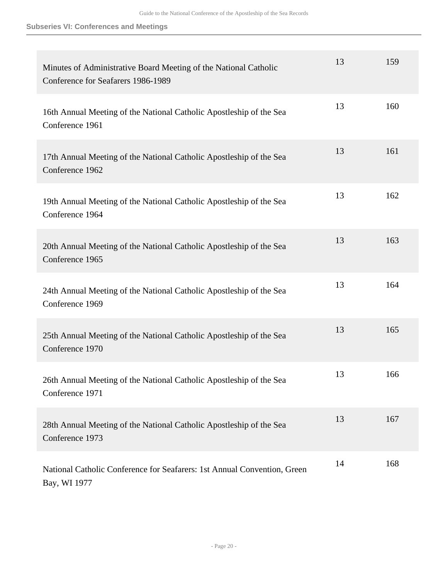#### **Subseries VI: Conferences and Meetings**

| Minutes of Administrative Board Meeting of the National Catholic<br>Conference for Seafarers 1986-1989 | 13 | 159 |
|--------------------------------------------------------------------------------------------------------|----|-----|
| 16th Annual Meeting of the National Catholic Apostleship of the Sea<br>Conference 1961                 | 13 | 160 |
| 17th Annual Meeting of the National Catholic Apostleship of the Sea<br>Conference 1962                 | 13 | 161 |
| 19th Annual Meeting of the National Catholic Apostleship of the Sea<br>Conference 1964                 | 13 | 162 |
| 20th Annual Meeting of the National Catholic Apostleship of the Sea<br>Conference 1965                 | 13 | 163 |
| 24th Annual Meeting of the National Catholic Apostleship of the Sea<br>Conference 1969                 | 13 | 164 |
| 25th Annual Meeting of the National Catholic Apostleship of the Sea<br>Conference 1970                 | 13 | 165 |
| 26th Annual Meeting of the National Catholic Apostleship of the Sea<br>Conference 1971                 | 13 | 166 |
| 28th Annual Meeting of the National Catholic Apostleship of the Sea<br>Conference 1973                 | 13 | 167 |
| National Catholic Conference for Seafarers: 1st Annual Convention, Green<br>Bay, WI 1977               | 14 | 168 |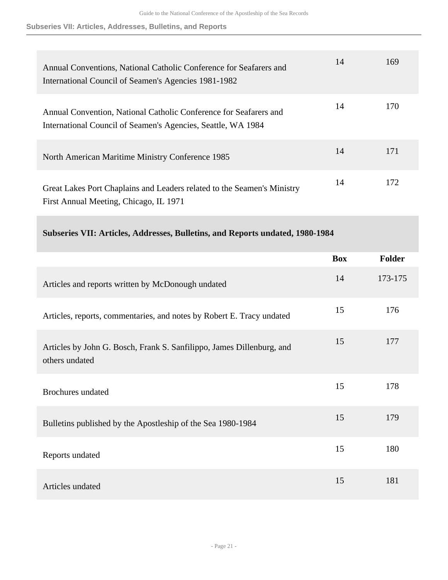**Subseries VII: Articles, Addresses, Bulletins, and Reports**

| Annual Conventions, National Catholic Conference for Seafarers and<br>International Council of Seamen's Agencies 1981-1982        | 14 | 169 |
|-----------------------------------------------------------------------------------------------------------------------------------|----|-----|
| Annual Convention, National Catholic Conference for Seafarers and<br>International Council of Seamen's Agencies, Seattle, WA 1984 | 14 | 170 |
| North American Maritime Ministry Conference 1985                                                                                  | 14 | 171 |
| Great Lakes Port Chaplains and Leaders related to the Seamen's Ministry<br>First Annual Meeting, Chicago, IL 1971                 | 14 | 172 |

**Subseries VII: Articles, Addresses, Bulletins, and Reports undated, 1980-1984** 

|                                                                                         | <b>Box</b> | <b>Folder</b> |
|-----------------------------------------------------------------------------------------|------------|---------------|
| Articles and reports written by McDonough undated                                       | 14         | 173-175       |
| Articles, reports, commentaries, and notes by Robert E. Tracy undated                   | 15         | 176           |
| Articles by John G. Bosch, Frank S. Sanfilippo, James Dillenburg, and<br>others undated | 15         | 177           |
| <b>Brochures</b> undated                                                                | 15         | 178           |
| Bulletins published by the Apostleship of the Sea 1980-1984                             | 15         | 179           |
| Reports undated                                                                         | 15         | 180           |
| Articles undated                                                                        | 15         | 181           |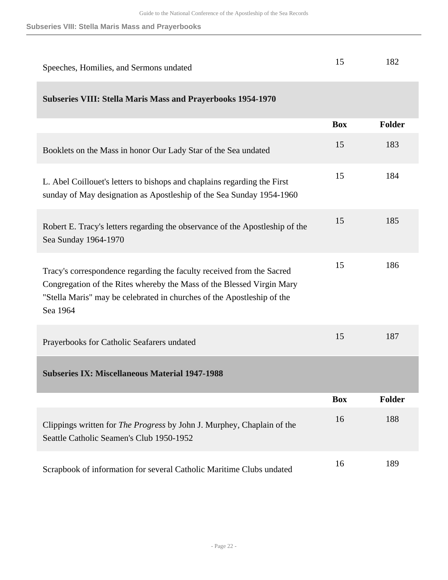**Subseries VIII: Stella Maris Mass and Prayerbooks**

| Speeches, Homilies, and Sermons undated                                                                                                                                                                                              | 15         | 182           |
|--------------------------------------------------------------------------------------------------------------------------------------------------------------------------------------------------------------------------------------|------------|---------------|
| <b>Subseries VIII: Stella Maris Mass and Prayerbooks 1954-1970</b>                                                                                                                                                                   |            |               |
|                                                                                                                                                                                                                                      | <b>Box</b> | Folder        |
| Booklets on the Mass in honor Our Lady Star of the Sea undated                                                                                                                                                                       | 15         | 183           |
| L. Abel Coillouet's letters to bishops and chaplains regarding the First<br>sunday of May designation as Apostleship of the Sea Sunday 1954-1960                                                                                     | 15         | 184           |
| Robert E. Tracy's letters regarding the observance of the Apostleship of the<br>Sea Sunday 1964-1970                                                                                                                                 | 15         | 185           |
| Tracy's correspondence regarding the faculty received from the Sacred<br>Congregation of the Rites whereby the Mass of the Blessed Virgin Mary<br>"Stella Maris" may be celebrated in churches of the Apostleship of the<br>Sea 1964 | 15         | 186           |
| Prayerbooks for Catholic Seafarers undated                                                                                                                                                                                           | 15         | 187           |
| <b>Subseries IX: Miscellaneous Material 1947-1988</b>                                                                                                                                                                                |            |               |
|                                                                                                                                                                                                                                      | <b>Box</b> | <b>Folder</b> |
| Clippings written for <i>The Progress</i> by John J. Murphey, Chaplain of the<br>Seattle Catholic Seamen's Club 1950-1952                                                                                                            | 16         | 188           |
| Scrapbook of information for several Catholic Maritime Clubs undated                                                                                                                                                                 | 16         | 189           |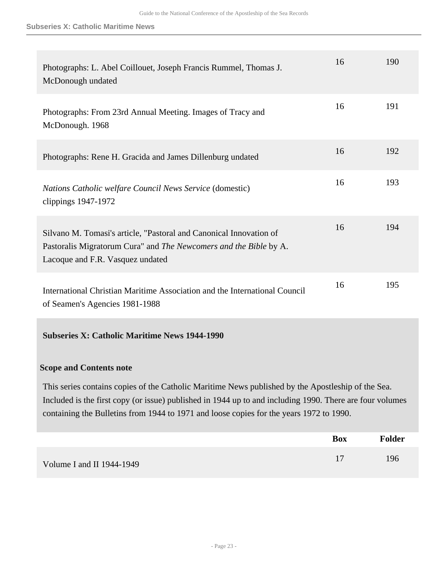| Photographs: L. Abel Coillouet, Joseph Francis Rummel, Thomas J.<br>McDonough undated                                                                                       | 16 | 190 |
|-----------------------------------------------------------------------------------------------------------------------------------------------------------------------------|----|-----|
| Photographs: From 23rd Annual Meeting. Images of Tracy and<br>McDonough. 1968                                                                                               | 16 | 191 |
| Photographs: Rene H. Gracida and James Dillenburg undated                                                                                                                   | 16 | 192 |
| <i>Nations Catholic welfare Council News Service</i> (domestic)<br>clippings $1947-1972$                                                                                    | 16 | 193 |
| Silvano M. Tomasi's article, "Pastoral and Canonical Innovation of<br>Pastoralis Migratorum Cura" and The Newcomers and the Bible by A.<br>Lacoque and F.R. Vasquez undated | 16 | 194 |
| International Christian Maritime Association and the International Council<br>of Seamen's Agencies 1981-1988                                                                | 16 | 195 |

### **Subseries X: Catholic Maritime News 1944-1990**

#### **Scope and Contents note**

This series contains copies of the Catholic Maritime News published by the Apostleship of the Sea. Included is the first copy (or issue) published in 1944 up to and including 1990. There are four volumes containing the Bulletins from 1944 to 1971 and loose copies for the years 1972 to 1990.

|                           | <b>Box</b> | <b>Folder</b> |
|---------------------------|------------|---------------|
| Volume I and II 1944-1949 |            | 196           |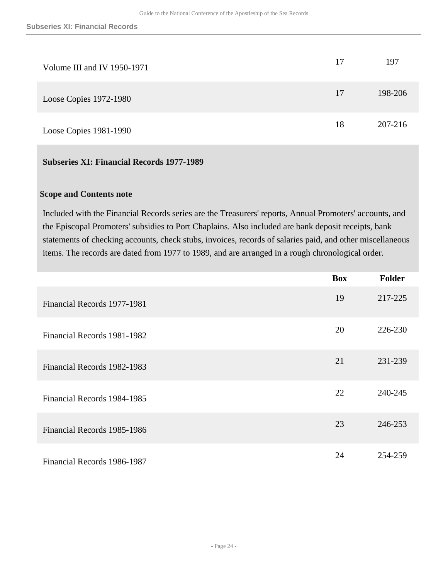| Volume III and IV 1950-1971 | 17 | 197     |
|-----------------------------|----|---------|
| Loose Copies 1972-1980      | 17 | 198-206 |
| Loose Copies 1981-1990      | 18 | 207-216 |

### **Subseries XI: Financial Records 1977-1989**

#### **Scope and Contents note**

Included with the Financial Records series are the Treasurers' reports, Annual Promoters' accounts, and the Episcopal Promoters' subsidies to Port Chaplains. Also included are bank deposit receipts, bank statements of checking accounts, check stubs, invoices, records of salaries paid, and other miscellaneous items. The records are dated from 1977 to 1989, and are arranged in a rough chronological order.

|                             | <b>Box</b> | <b>Folder</b> |
|-----------------------------|------------|---------------|
| Financial Records 1977-1981 | 19         | 217-225       |
| Financial Records 1981-1982 | 20         | 226-230       |
| Financial Records 1982-1983 | 21         | 231-239       |
| Financial Records 1984-1985 | 22         | 240-245       |
| Financial Records 1985-1986 | 23         | 246-253       |
| Financial Records 1986-1987 | 24         | 254-259       |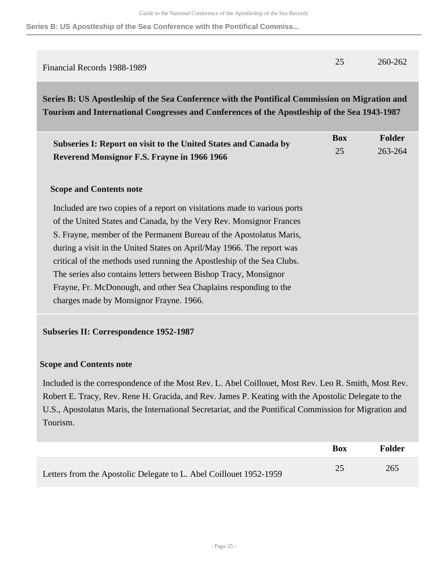**Series B: US Apostleship of the Sea Conference with the Pontifical Commiss...**

| Financial Records 1988-1989 | 25 | 260-262 |
|-----------------------------|----|---------|
|                             |    |         |

<span id="page-24-0"></span>**Series B: US Apostleship of the Sea Conference with the Pontifical Commission on Migration and Tourism and International Congresses and Conferences of the Apostleship of the Sea 1943-1987** 

| <b>Subseries I: Report on visit to the United States and Canada by</b><br>Reverend Monsignor F.S. Frayne in 1966 1966 | <b>Box</b><br>25 | <b>Folder</b><br>263-264 |
|-----------------------------------------------------------------------------------------------------------------------|------------------|--------------------------|
| <b>Scope and Contents note</b>                                                                                        |                  |                          |
| Included are two copies of a report on visitations made to various ports                                              |                  |                          |
| of the United States and Canada, by the Very Rev. Monsignor Frances                                                   |                  |                          |
| S. Frayne, member of the Permanent Bureau of the Apostolatus Maris,                                                   |                  |                          |
| during a visit in the United States on April/May 1966. The report was                                                 |                  |                          |
| critical of the methods used running the Apostleship of the Sea Clubs.                                                |                  |                          |
| The series also contains letters between Bishop Tracy, Monsignor                                                      |                  |                          |

charges made by Monsignor Frayne. 1966.

Frayne, Fr. McDonough, and other Sea Chaplains responding to the

#### **Subseries II: Correspondence 1952-1987**

#### **Scope and Contents note**

Included is the correspondence of the Most Rev. L. Abel Coillouet, Most Rev. Leo R. Smith, Most Rev. Robert E. Tracy, Rev. Rene H. Gracida, and Rev. James P. Keating with the Apostolic Delegate to the U.S., Apostolatus Maris, the International Secretariat, and the Pontifical Commission for Migration and Tourism.

|                                                                    | <b>Box</b> | Folder |
|--------------------------------------------------------------------|------------|--------|
| Letters from the Apostolic Delegate to L. Abel Coillouet 1952-1959 | 25         | 265    |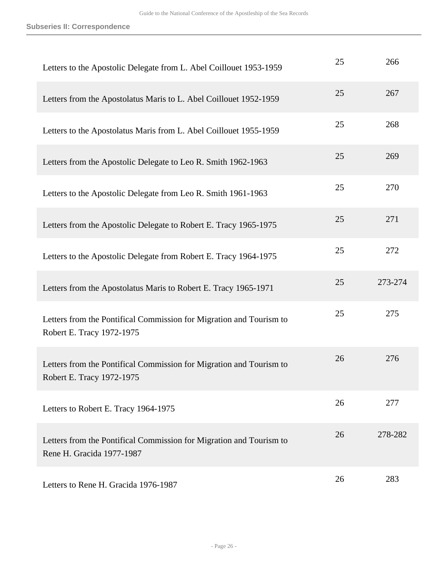| Letters to the Apostolic Delegate from L. Abel Coillouet 1953-1959                               | 25 | 266     |
|--------------------------------------------------------------------------------------------------|----|---------|
| Letters from the Apostolatus Maris to L. Abel Coillouet 1952-1959                                | 25 | 267     |
| Letters to the Apostolatus Maris from L. Abel Coillouet 1955-1959                                | 25 | 268     |
| Letters from the Apostolic Delegate to Leo R. Smith 1962-1963                                    | 25 | 269     |
| Letters to the Apostolic Delegate from Leo R. Smith 1961-1963                                    | 25 | 270     |
| Letters from the Apostolic Delegate to Robert E. Tracy 1965-1975                                 | 25 | 271     |
| Letters to the Apostolic Delegate from Robert E. Tracy 1964-1975                                 | 25 | 272     |
|                                                                                                  |    |         |
| Letters from the Apostolatus Maris to Robert E. Tracy 1965-1971                                  | 25 | 273-274 |
| Letters from the Pontifical Commission for Migration and Tourism to<br>Robert E. Tracy 1972-1975 | 25 | 275     |
| Letters from the Pontifical Commission for Migration and Tourism to<br>Robert E. Tracy 1972-1975 | 26 | 276     |
| Letters to Robert E. Tracy 1964-1975                                                             | 26 | 277     |
| Letters from the Pontifical Commission for Migration and Tourism to<br>Rene H. Gracida 1977-1987 | 26 | 278-282 |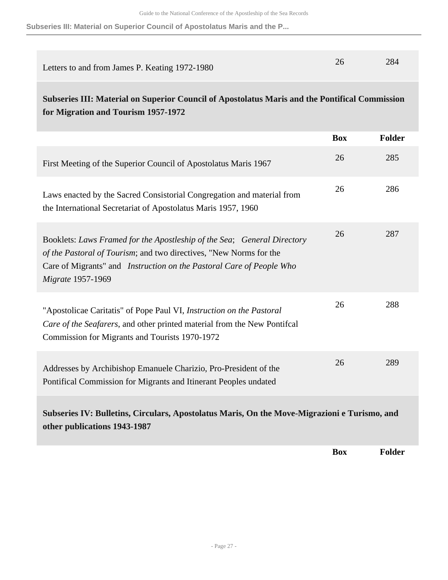**Subseries III: Material on Superior Council of Apostolatus Maris and the P...**

| Letters to and from James P. Keating 1972-1980                                                                                                                                                                                                    | 26         | 284           |
|---------------------------------------------------------------------------------------------------------------------------------------------------------------------------------------------------------------------------------------------------|------------|---------------|
| Subseries III: Material on Superior Council of Apostolatus Maris and the Pontifical Commission<br>for Migration and Tourism 1957-1972                                                                                                             |            |               |
|                                                                                                                                                                                                                                                   | <b>Box</b> | <b>Folder</b> |
| First Meeting of the Superior Council of Apostolatus Maris 1967                                                                                                                                                                                   | 26         | 285           |
| Laws enacted by the Sacred Consistorial Congregation and material from<br>the International Secretariat of Apostolatus Maris 1957, 1960                                                                                                           | 26         | 286           |
| Booklets: Laws Framed for the Apostleship of the Sea; General Directory<br>of the Pastoral of Tourism; and two directives, "New Norms for the<br>Care of Migrants" and <i>Instruction on the Pastoral Care of People Who</i><br>Migrate 1957-1969 | 26         | 287           |
| "Apostolicae Caritatis" of Pope Paul VI, Instruction on the Pastoral<br>Care of the Seafarers, and other printed material from the New Pontifcal<br>Commission for Migrants and Tourists 1970-1972                                                | 26         | 288           |
| Addresses by Archibishop Emanuele Charizio, Pro-President of the<br>Pontifical Commission for Migrants and Itinerant Peoples undated                                                                                                              | 26         | 289           |
| Subseries IV: Bulletins, Circulars, Apostolatus Maris, On the Move-Migrazioni e Turismo, and<br>other publications 1943-1987                                                                                                                      |            |               |

**Box Folder**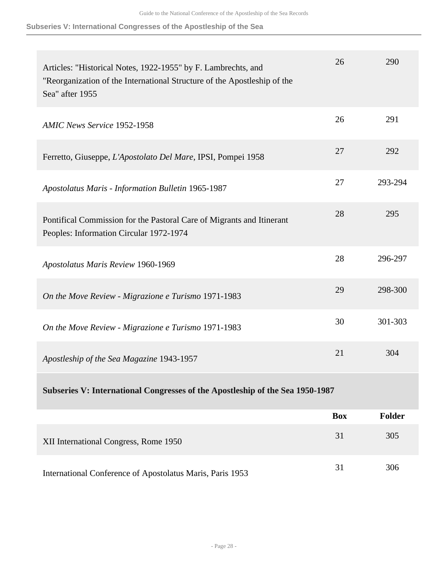#### **Subseries V: International Congresses of the Apostleship of the Sea**

| Articles: "Historical Notes, 1922-1955" by F. Lambrechts, and<br>"Reorganization of the International Structure of the Apostleship of the<br>Sea" after 1955 | 26         | 290           |
|--------------------------------------------------------------------------------------------------------------------------------------------------------------|------------|---------------|
| <b>AMIC News Service 1952-1958</b>                                                                                                                           | 26         | 291           |
| Ferretto, Giuseppe, L'Apostolato Del Mare, IPSI, Pompei 1958                                                                                                 | 27         | 292           |
| Apostolatus Maris - Information Bulletin 1965-1987                                                                                                           | 27         | 293-294       |
| Pontifical Commission for the Pastoral Care of Migrants and Itinerant<br>Peoples: Information Circular 1972-1974                                             | 28         | 295           |
| Apostolatus Maris Review 1960-1969                                                                                                                           | 28         | 296-297       |
| On the Move Review - Migrazione e Turismo 1971-1983                                                                                                          | 29         | 298-300       |
| On the Move Review - Migrazione e Turismo 1971-1983                                                                                                          | 30         | 301-303       |
| Apostleship of the Sea Magazine 1943-1957                                                                                                                    | 21         | 304           |
| Subseries V: International Congresses of the Apostleship of the Sea 1950-1987                                                                                |            |               |
|                                                                                                                                                              | <b>Box</b> | <b>Folder</b> |
| XII International Congress, Rome 1950                                                                                                                        | 31         | 305           |

International Conference of Apostolatus Maris, Paris 1953 31 306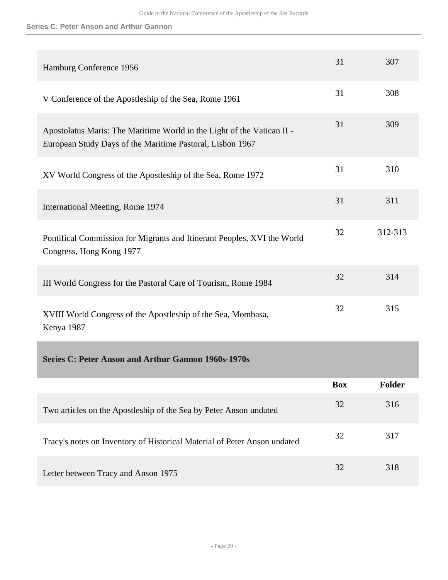#### **Series C: Peter Anson and Arthur Gannon**

<span id="page-28-0"></span>

| Hamburg Conference 1956                                                                                                             | 31         | 307           |
|-------------------------------------------------------------------------------------------------------------------------------------|------------|---------------|
| V Conference of the Apostleship of the Sea, Rome 1961                                                                               | 31         | 308           |
| Apostolatus Maris: The Maritime World in the Light of the Vatican II -<br>European Study Days of the Maritime Pastoral, Lisbon 1967 | 31         | 309           |
| XV World Congress of the Apostleship of the Sea, Rome 1972                                                                          | 31         | 310           |
| International Meeting, Rome 1974                                                                                                    | 31         | 311           |
| Pontifical Commission for Migrants and Itinerant Peoples, XVI the World<br>Congress, Hong Kong 1977                                 | 32         | 312-313       |
| III World Congress for the Pastoral Care of Tourism, Rome 1984                                                                      | 32         | 314           |
| XVIII World Congress of the Apostleship of the Sea, Mombasa,<br>Kenya 1987                                                          | 32         | 315           |
| <b>Series C: Peter Anson and Arthur Gannon 1960s-1970s</b>                                                                          |            |               |
|                                                                                                                                     | <b>Box</b> | <b>Folder</b> |
| Two articles on the Apostleship of the Sea by Peter Anson undated                                                                   | 32         | 316           |
| Tracy's notes on Inventory of Historical Material of Peter Anson undated                                                            | 32         | 317           |
| Letter between Tracy and Anson 1975                                                                                                 | 32         | 318           |